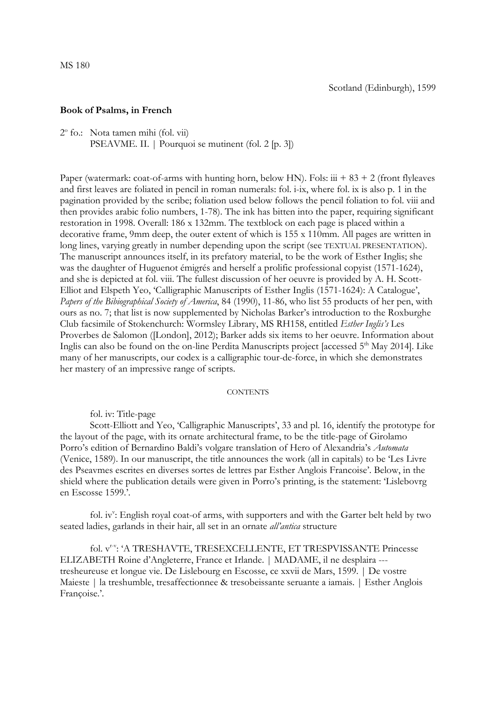## **Book of Psalms, in French**

2° fo.: Nota tamen mihi (fol. vii) PSEAVME. II. | Pourquoi se mutinent (fol. 2 [p. 3])

Paper (watermark: coat-of-arms with hunting horn, below HN). Fols:  $\ddot{u}$  + 83 + 2 (front flyleaves and first leaves are foliated in pencil in roman numerals: fol. i-ix, where fol. ix is also p. 1 in the pagination provided by the scribe; foliation used below follows the pencil foliation to fol. viii and then provides arabic folio numbers, 1-78). The ink has bitten into the paper, requiring significant restoration in 1998. Overall: 186 x 132mm. The textblock on each page is placed within a decorative frame, 9mm deep, the outer extent of which is 155 x 110mm. All pages are written in long lines, varying greatly in number depending upon the script (see TEXTUAL PRESENTATION). The manuscript announces itself, in its prefatory material, to be the work of Esther Inglis; she was the daughter of Huguenot émigrés and herself a prolific professional copyist (1571-1624), and she is depicted at fol. viii. The fullest discussion of her oeuvre is provided by A. H. Scott-Elliot and Elspeth Yeo, 'Calligraphic Manuscripts of Esther Inglis (1571-1624): A Catalogue', *Papers of the Bibiographical Society of America*, 84 (1990), 11-86, who list 55 products of her pen, with ours as no. 7; that list is now supplemented by Nicholas Barker's introduction to the Roxburghe Club facsimile of Stokenchurch: Wormsley Library, MS RH158, entitled *Esther Inglis's* Les Proverbes de Salomon ([London], 2012); Barker adds six items to her oeuvre. Information about Inglis can also be found on the on-line Perdita Manuscripts project [accessed 5<sup>th</sup> May 2014]. Like many of her manuscripts, our codex is a calligraphic tour-de-force, in which she demonstrates her mastery of an impressive range of scripts.

## **CONTENTS**

fol. iv: Title-page

Scott-Elliott and Yeo, 'Calligraphic Manuscripts', 33 and pl. 16, identify the prototype for the layout of the page, with its ornate architectural frame, to be the title-page of Girolamo Porro's edition of Bernardino Baldi's volgare translation of Hero of Alexandria's *Automata*  (Venice, 1589). In our manuscript, the title announces the work (all in capitals) to be 'Les Livre des Pseavmes escrites en diverses sortes de lettres par Esther Anglois Francoise'. Below, in the shield where the publication details were given in Porro's printing, is the statement: 'Lislebovrg en Escosse 1599.'.

fol. iv": English royal coat-of arms, with supporters and with the Garter belt held by two seated ladies, garlands in their hair, all set in an ornate *all'antica* structure

fol. v<sup>r-v</sup>: 'A TRESHAVTE, TRESEXCELLENTE, ET TRESPVISSANTE Princesse ELIZABETH Roine d'Angleterre, France et Irlande. | MADAME, il ne desplaira -- tresheureuse et longue vie. De Lislebourg en Escosse, ce xxvii de Mars, 1599. | De vostre Maieste | la treshumble, tresaffectionnee & tresobeissante seruante a iamais. | Esther Anglois Françoise.'.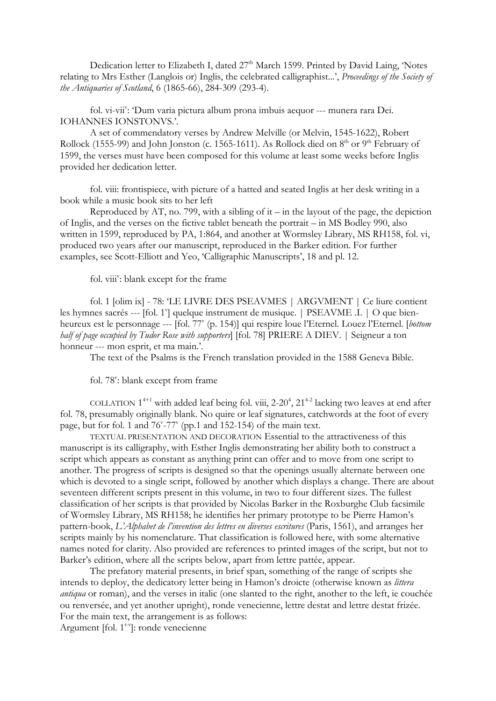Dedication letter to Elizabeth I, dated 27<sup>th</sup> March 1599. Printed by David Laing, 'Notes relating to Mrs Esther (Langlois or) Inglis, the celebrated calligraphist...', *Proceedings of the Society of the Antiquaries of Scotland*, 6 (1865-66), 284-309 (293-4).

fol. vi-vii": 'Dum varia pictura album prona imbuis aequor --- munera rara Dei. IOHANNES IONSTONVS.'.

A set of commendatory verses by Andrew Melville (or Melvin, 1545-1622), Robert Rollock (1555-99) and John Jonston (c. 1565-1611). As Rollock died on  $8<sup>th</sup>$  or  $9<sup>th</sup>$  February of 1599, the verses must have been composed for this volume at least some weeks before Inglis provided her dedication letter.

fol. viii: frontispiece, with picture of a hatted and seated Inglis at her desk writing in a book while a music book sits to her left

Reproduced by AT, no. 799, with a sibling of it – in the layout of the page, the depiction of Inglis, and the verses on the fictive tablet beneath the portrait – in MS Bodley 990, also written in 1599, reproduced by PA, 1:864, and another at Wormsley Library, MS RH158, fol. vi, produced two years after our manuscript, reproduced in the Barker edition. For further examples, see Scott-Elliott and Yeo, 'Calligraphic Manuscripts', 18 and pl. 12.

fol. viii": blank except for the frame

fol. 1 [olim ix] - 78: 'LE LIVRE DES PSEAVMES | ARGVMENT | Ce liure contient les hymnes sacrés --- [fol. 1<sup>v</sup>] quelque instrument de musique. | PSEAVME .I. | O que bienheureux est le personnage --- [fol. 77<sup>v</sup> (p. 154)] qui respire loue l'Eternel. Louez l'Eternel. [*bottom half of page occupied by Tudor Rose with supporters*] [fol. 78] PRIERE A DIEV. | Seigneur a ton honneur --- mon esprit, et ma main.'.

The text of the Psalms is the French translation provided in the 1588 Geneva Bible.

fol. 78": blank except from frame

COLLATION  $1^{4+1}$  with added leaf being fol. viii, 2-20<sup>4</sup>,  $21^{4-2}$  lacking two leaves at end after fol. 78, presumably originally blank. No quire or leaf signatures, catchwords at the foot of every page, but for fol. 1 and  $76^{\circ}$ -77 $^{\circ}$  (pp.1 and 152-154) of the main text.

TEXTUAL PRESENTATION AND DECORATION Essential to the attractiveness of this manuscript is its calligraphy, with Esther Inglis demonstrating her ability both to construct a script which appears as constant as anything print can offer and to move from one script to another. The progress of scripts is designed so that the openings usually alternate between one which is devoted to a single script, followed by another which displays a change. There are about seventeen different scripts present in this volume, in two to four different sizes. The fullest classification of her scripts is that provided by Nicolas Barker in the Roxburghe Club facsimile of Wormsley Library, MS RH158; he identifies her primary prototype to be Pierre Hamon's pattern-book, *L'Alphabet de l'invention des lettres en diverses escritures* (Paris, 1561), and arranges her scripts mainly by his nomenclature. That classification is followed here, with some alternative names noted for clarity. Also provided are references to printed images of the script, but not to Barker's edition, where all the scripts below, apart from lettre pattée, appear.

The prefatory material presents, in brief span, something of the range of scripts she intends to deploy, the dedicatory letter being in Hamon's droicte (otherwise known as *littera antiqua* or roman), and the verses in italic (one slanted to the right, another to the left, ie couchée ou renversée, and yet another upright), ronde venecienne, lettre destat and lettre destat frizée. For the main text, the arrangement is as follows:

Argument [fol. 1<sup>r-v</sup>]: ronde venecienne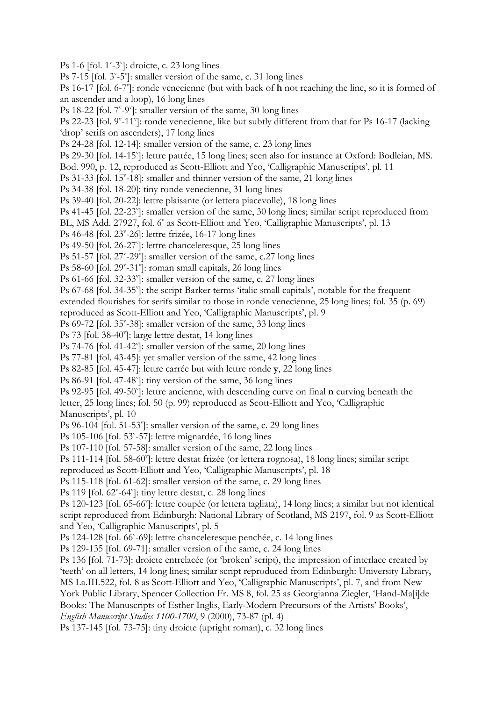Ps 1-6 [fol.  $1^{\nu}$ -3 $^{\nu}$ ]: droicte, c. 23 long lines Ps 7-15 [fol.  $3^{\nu}$ -5 $^{\nu}$ ]: smaller version of the same, c. 31 long lines Ps 16-17 [fol. 6-7<sup>v</sup>]: ronde venecienne (but with back of **h** not reaching the line, so it is formed of an ascender and a loop), 16 long lines Ps 18-22 [fol.  $7^{\nu}$ -9 $^{\nu}$ ]: smaller version of the same, 30 long lines Ps 22-23 [fol. 9<sup>v</sup>-11<sup>v</sup>]: ronde venecienne, like but subtly different from that for Ps 16-17 (lacking 'drop' serifs on ascenders), 17 long lines Ps 24-28 [fol. 12-14]: smaller version of the same, c. 23 long lines Ps 29-30 [fol. 14-15"]: lettre pattée, 15 long lines; seen also for instance at Oxford: Bodleian, MS. Bod. 990, p. 12, reproduced as Scott-Elliott and Yeo, 'Calligraphic Manuscripts', pl. 11 Ps 31-33 [fol. 15<sup>v</sup>-18]: smaller and thinner version of the same, 21 long lines Ps 34-38 [fol. 18-20]: tiny ronde venecienne, 31 long lines Ps 39-40 [fol. 20-22]: lettre plaisante (or lettera piacevolle), 18 long lines Ps 41-45 [fol. 22-23"]: smaller version of the same, 30 long lines; similar script reproduced from BL, MS Add. 27927, fol. 6" as Scott-Elliott and Yeo, 'Calligraphic Manuscripts', pl. 13 Ps 46-48 [fol. 23<sup>v</sup>-26]: lettre frizée, 16-17 long lines Ps 49-50 [fol. 26-27<sup>v</sup>]: lettre chanceleresque, 25 long lines Ps 51-57 [fol. 27<sup>v</sup>-29<sup>v</sup>]: smaller version of the same, c.27 long lines Ps 58-60 [fol. 29"-31"]: roman small capitals, 26 long lines Ps 61-66 [fol. 32-33"]: smaller version of the same, c. 27 long lines Ps 67-68 [fol. 34-35"]: the script Barker terms 'italic small capitals', notable for the frequent extended flourishes for serifs similar to those in ronde venecienne, 25 long lines; fol. 35 (p. 69) reproduced as Scott-Elliott and Yeo, 'Calligraphic Manuscripts', pl. 9 Ps 69-72 [fol. 35"-38]: smaller version of the same, 33 long lines Ps 73 [fol. 38-40"]: large lettre destat, 14 long lines Ps 74-76 [fol. 41-42"]: smaller version of the same, 20 long lines Ps 77-81 [fol. 43-45]: yet smaller version of the same, 42 long lines Ps 82-85 [fol. 45-47]: lettre carrée but with lettre ronde **y**, 22 long lines Ps 86-91 [fol. 47-48"]: tiny version of the same, 36 long lines Ps 92-95 [fol. 49-50"]: lettre ancienne, with descending curve on final **n** curving beneath the letter, 25 long lines; fol. 50 (p. 99) reproduced as Scott-Elliott and Yeo, 'Calligraphic Manuscripts', pl. 10 Ps 96-104 [fol. 51-53"]: smaller version of the same, c. 29 long lines Ps 105-106 [fol. 53<sup>v</sup>-57]: lettre mignardée, 16 long lines Ps 107-110 [fol. 57-58]: smaller version of the same, 22 long lines Ps 111-114 [fol. 58-60"]: lettre destat frizée (or lettera rognosa), 18 long lines; similar script reproduced as Scott-Elliott and Yeo, 'Calligraphic Manuscripts', pl. 18 Ps 115-118 [fol. 61-62]: smaller version of the same, c. 29 long lines Ps 119 [fol. 62<sup>v</sup>-64<sup>v</sup>]: tiny lettre destat, c. 28 long lines Ps 120-123 [fol. 65-66"]: lettre coupée (or lettera tagliata), 14 long lines; a similar but not identical script reproduced from Edinburgh: National Library of Scotland, MS 2197, fol. 9 as Scott-Elliott and Yeo, 'Calligraphic Manuscripts', pl. 5 Ps 124-128 [fol. 66<sup>v</sup>-69]: lettre chanceleresque penchée, c. 14 long lines Ps 129-135 [fol. 69-71]: smaller version of the same, c. 24 long lines Ps 136 [fol. 71-73]: droicte entrelacée (or 'broken' script), the impression of interlace created by 'teeth' on all letters, 14 long lines; similar script reproduced from Edinburgh: University Library, MS La.III.522, fol. 8 as Scott-Elliott and Yeo, 'Calligraphic Manuscripts', pl. 7, and from New York Public Library, Spencer Collection Fr. MS 8, fol. 25 as Georgianna Ziegler, 'Hand-Ma[i]de Books: The Manuscripts of Esther Inglis, Early-Modern Precursors of the Artists' Books', *English Manuscript Studies 1100-1700*, 9 (2000), 73-87 (pl. 4) Ps 137-145 [fol. 73-75]: tiny droicte (upright roman), c. 32 long lines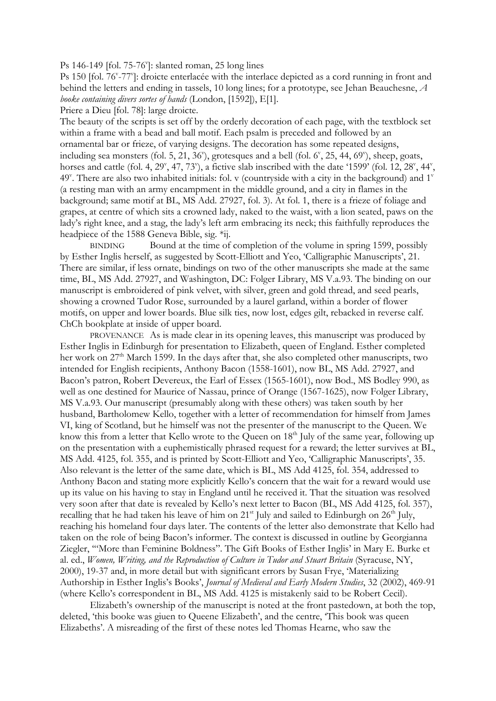Ps 146-149 [fol.  $75-76$ ]: slanted roman,  $25$  long lines

Ps 150 [fol. 76"-77"]: droicte enterlacée with the interlace depicted as a cord running in front and behind the letters and ending in tassels, 10 long lines; for a prototype, see Jehan Beauchesne, *A booke containing divers sortes of hands* (London, [1592]), E[1].

Priere a Dieu [fol. 78]: large droicte.

The beauty of the scripts is set off by the orderly decoration of each page, with the textblock set within a frame with a bead and ball motif. Each psalm is preceded and followed by an ornamental bar or frieze, of varying designs. The decoration has some repeated designs, including sea monsters (fol. 5, 21, 36"), grotesques and a bell (fol.  $6^{\text{v}}$ , 25, 44, 69"), sheep, goats, horses and cattle (fol. 4, 29<sup>v</sup>, 47, 73<sup>v</sup>), a fictive slab inscribed with the date '1599' (fol. 12, 28<sup>v</sup>, 44<sup>v</sup>, 49<sup>v</sup>. There are also two inhabited initials: fol. v (countryside with a city in the background) and 1<sup>v</sup> (a resting man with an army encampment in the middle ground, and a city in flames in the background; same motif at BL, MS Add. 27927, fol. 3). At fol. 1, there is a frieze of foliage and grapes, at centre of which sits a crowned lady, naked to the waist, with a lion seated, paws on the lady's right knee, and a stag, the lady's left arm embracing its neck; this faithfully reproduces the headpiece of the 1588 Geneva Bible, sig. \*ij.

BINDING Bound at the time of completion of the volume in spring 1599, possibly by Esther Inglis herself, as suggested by Scott-Elliott and Yeo, 'Calligraphic Manuscripts', 21. There are similar, if less ornate, bindings on two of the other manuscripts she made at the same time, BL, MS Add. 27927, and Washington, DC: Folger Library, MS V.a.93. The binding on our manuscript is embroidered of pink velvet, with silver, green and gold thread, and seed pearls, showing a crowned Tudor Rose, surrounded by a laurel garland, within a border of flower motifs, on upper and lower boards. Blue silk ties, now lost, edges gilt, rebacked in reverse calf. ChCh bookplate at inside of upper board.

PROVENANCE As is made clear in its opening leaves, this manuscript was produced by Esther Inglis in Edinburgh for presentation to Elizabeth, queen of England. Esther completed her work on 27<sup>th</sup> March 1599. In the days after that, she also completed other manuscripts, two intended for English recipients, Anthony Bacon (1558-1601), now BL, MS Add. 27927, and Bacon's patron, Robert Devereux, the Earl of Essex (1565-1601), now Bod., MS Bodley 990, as well as one destined for Maurice of Nassau, prince of Orange (1567-1625), now Folger Library, MS V.a.93. Our manuscript (presumably along with these others) was taken south by her husband, Bartholomew Kello, together with a letter of recommendation for himself from James VI, king of Scotland, but he himself was not the presenter of the manuscript to the Queen. We know this from a letter that Kello wrote to the Queen on 18<sup>th</sup> July of the same year, following up on the presentation with a euphemistically phrased request for a reward; the letter survives at BL, MS Add. 4125, fol. 355, and is printed by Scott-Elliott and Yeo, 'Calligraphic Manuscripts', 35. Also relevant is the letter of the same date, which is BL, MS Add 4125, fol. 354, addressed to Anthony Bacon and stating more explicitly Kello's concern that the wait for a reward would use up its value on his having to stay in England until he received it. That the situation was resolved very soon after that date is revealed by Kello's next letter to Bacon (BL, MS Add 4125, fol. 357), recalling that he had taken his leave of him on  $21<sup>st</sup>$  July and sailed to Edinburgh on  $26<sup>th</sup>$  July, reaching his homeland four days later. The contents of the letter also demonstrate that Kello had taken on the role of being Bacon's informer. The context is discussed in outline by Georgianna Ziegler, '"More than Feminine Boldness". The Gift Books of Esther Inglis' in Mary E. Burke et al. ed., *Women, Writing, and the Reproduction of Culture in Tudor and Stuart Britain* (Syracuse, NY, 2000), 19-37 and, in more detail but with significant errors by Susan Frye, 'Materializing Authorship in Esther Inglis's Books', *Journal of Medieval and Early Modern Studies*, 32 (2002), 469-91 (where Kello's correspondent in BL, MS Add. 4125 is mistakenly said to be Robert Cecil).

 Elizabeth's ownership of the manuscript is noted at the front pastedown, at both the top, deleted, 'this booke was giuen to Queene Elizabeth', and the centre, 'This book was queen Elizabeths'. A misreading of the first of these notes led Thomas Hearne, who saw the